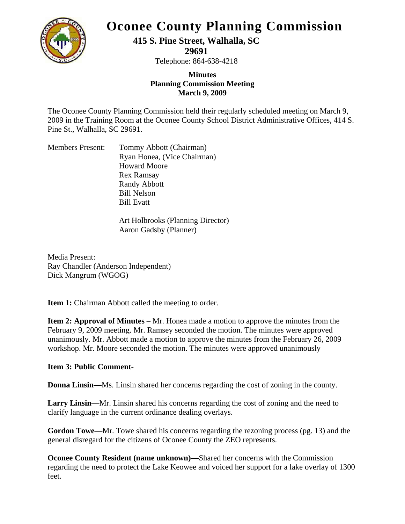

# **Oconee County Planning Commission**

**415 S. Pine Street, Walhalla, SC** 

**29691** 

Telephone: 864-638-4218

# **Minutes Planning Commission Meeting March 9, 2009**

The Oconee County Planning Commission held their regularly scheduled meeting on March 9, 2009 in the Training Room at the Oconee County School District Administrative Offices, 414 S. Pine St., Walhalla, SC 29691.

| <b>Members Present:</b> | Tommy Abbott (Chairman)     |
|-------------------------|-----------------------------|
|                         | Ryan Honea, (Vice Chairman) |
|                         | <b>Howard Moore</b>         |
|                         | <b>Rex Ramsay</b>           |
|                         | <b>Randy Abbott</b>         |
|                         | <b>Bill Nelson</b>          |
|                         | <b>Bill Evatt</b>           |
|                         |                             |

Art Holbrooks (Planning Director) Aaron Gadsby (Planner)

Media Present: Ray Chandler (Anderson Independent) Dick Mangrum (WGOG)

**Item 1:** Chairman Abbott called the meeting to order.

**Item 2: Approval of Minutes** – Mr. Honea made a motion to approve the minutes from the February 9, 2009 meeting. Mr. Ramsey seconded the motion. The minutes were approved unanimously. Mr. Abbott made a motion to approve the minutes from the February 26, 2009 workshop. Mr. Moore seconded the motion. The minutes were approved unanimously

# **Item 3: Public Comment-**

**Donna Linsin—**Ms. Linsin shared her concerns regarding the cost of zoning in the county.

**Larry Linsin—**Mr. Linsin shared his concerns regarding the cost of zoning and the need to clarify language in the current ordinance dealing overlays.

**Gordon Towe—**Mr. Towe shared his concerns regarding the rezoning process (pg. 13) and the general disregard for the citizens of Oconee County the ZEO represents.

**Oconee County Resident (name unknown)—Shared her concerns with the Commission** regarding the need to protect the Lake Keowee and voiced her support for a lake overlay of 1300 feet.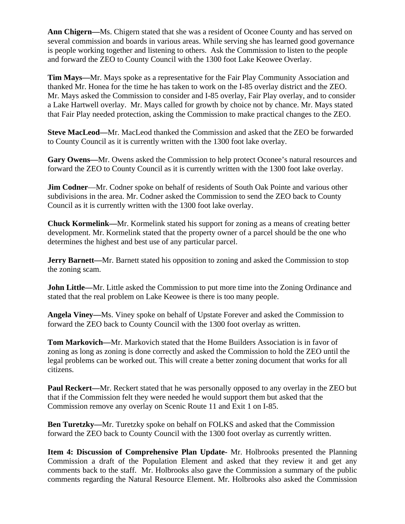**Ann Chigern—**Ms. Chigern stated that she was a resident of Oconee County and has served on several commission and boards in various areas. While serving she has learned good governance is people working together and listening to others. Ask the Commission to listen to the people and forward the ZEO to County Council with the 1300 foot Lake Keowee Overlay.

**Tim Mays—**Mr. Mays spoke as a representative for the Fair Play Community Association and thanked Mr. Honea for the time he has taken to work on the I-85 overlay district and the ZEO. Mr. Mays asked the Commission to consider and I-85 overlay, Fair Play overlay, and to consider a Lake Hartwell overlay. Mr. Mays called for growth by choice not by chance. Mr. Mays stated that Fair Play needed protection, asking the Commission to make practical changes to the ZEO.

**Steve MacLeod—**Mr. MacLeod thanked the Commission and asked that the ZEO be forwarded to County Council as it is currently written with the 1300 foot lake overlay.

**Gary Owens—**Mr. Owens asked the Commission to help protect Oconee's natural resources and forward the ZEO to County Council as it is currently written with the 1300 foot lake overlay.

**Jim Codner**—Mr. Codner spoke on behalf of residents of South Oak Pointe and various other subdivisions in the area. Mr. Codner asked the Commission to send the ZEO back to County Council as it is currently written with the 1300 foot lake overlay.

**Chuck Kormelink—**Mr. Kormelink stated his support for zoning as a means of creating better development. Mr. Kormelink stated that the property owner of a parcel should be the one who determines the highest and best use of any particular parcel.

**Jerry Barnett—**Mr. Barnett stated his opposition to zoning and asked the Commission to stop the zoning scam.

**John Little—**Mr. Little asked the Commission to put more time into the Zoning Ordinance and stated that the real problem on Lake Keowee is there is too many people.

**Angela Viney—**Ms. Viney spoke on behalf of Upstate Forever and asked the Commission to forward the ZEO back to County Council with the 1300 foot overlay as written.

**Tom Markovich—**Mr. Markovich stated that the Home Builders Association is in favor of zoning as long as zoning is done correctly and asked the Commission to hold the ZEO until the legal problems can be worked out. This will create a better zoning document that works for all citizens.

**Paul Reckert—**Mr. Reckert stated that he was personally opposed to any overlay in the ZEO but that if the Commission felt they were needed he would support them but asked that the Commission remove any overlay on Scenic Route 11 and Exit 1 on I-85.

**Ben Turetzky—**Mr. Turetzky spoke on behalf on FOLKS and asked that the Commission forward the ZEO back to County Council with the 1300 foot overlay as currently written.

**Item 4: Discussion of Comprehensive Plan Update-** Mr. Holbrooks presented the Planning Commission a draft of the Population Element and asked that they review it and get any comments back to the staff. Mr. Holbrooks also gave the Commission a summary of the public comments regarding the Natural Resource Element. Mr. Holbrooks also asked the Commission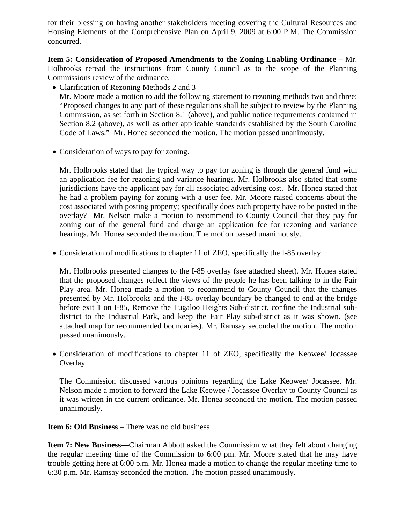for their blessing on having another stakeholders meeting covering the Cultural Resources and Housing Elements of the Comprehensive Plan on April 9, 2009 at 6:00 P.M. The Commission concurred.

**Item 5: Consideration of Proposed Amendments to the Zoning Enabling Ordinance –** Mr. Holbrooks reread the instructions from County Council as to the scope of the Planning Commissions review of the ordinance.

- Clarification of Rezoning Methods 2 and 3 Mr. Moore made a motion to add the following statement to rezoning methods two and three: "Proposed changes to any part of these regulations shall be subject to review by the Planning Commission, as set forth in Section 8.1 (above), and public notice requirements contained in Section 8.2 (above), as well as other applicable standards established by the South Carolina Code of Laws." Mr. Honea seconded the motion. The motion passed unanimously.
- Consideration of ways to pay for zoning.

Mr. Holbrooks stated that the typical way to pay for zoning is though the general fund with an application fee for rezoning and variance hearings. Mr. Holbrooks also stated that some jurisdictions have the applicant pay for all associated advertising cost. Mr. Honea stated that he had a problem paying for zoning with a user fee. Mr. Moore raised concerns about the cost associated with posting property; specifically does each property have to be posted in the overlay? Mr. Nelson make a motion to recommend to County Council that they pay for zoning out of the general fund and charge an application fee for rezoning and variance hearings. Mr. Honea seconded the motion. The motion passed unanimously.

• Consideration of modifications to chapter 11 of ZEO, specifically the I-85 overlay.

Mr. Holbrooks presented changes to the I-85 overlay (see attached sheet). Mr. Honea stated that the proposed changes reflect the views of the people he has been talking to in the Fair Play area. Mr. Honea made a motion to recommend to County Council that the changes presented by Mr. Holbrooks and the I-85 overlay boundary be changed to end at the bridge before exit 1 on I-85, Remove the Tugaloo Heights Sub-district, confine the Industrial subdistrict to the Industrial Park, and keep the Fair Play sub-district as it was shown. (see attached map for recommended boundaries). Mr. Ramsay seconded the motion. The motion passed unanimously.

• Consideration of modifications to chapter 11 of ZEO, specifically the Keowee/ Jocassee Overlay.

The Commission discussed various opinions regarding the Lake Keowee/ Jocassee. Mr. Nelson made a motion to forward the Lake Keowee / Jocassee Overlay to County Council as it was written in the current ordinance. Mr. Honea seconded the motion. The motion passed unanimously.

# **Item 6: Old Business** – There was no old business

**Item 7: New Business—Chairman Abbott asked the Commission what they felt about changing** the regular meeting time of the Commission to 6:00 pm. Mr. Moore stated that he may have trouble getting here at 6:00 p.m. Mr. Honea made a motion to change the regular meeting time to 6:30 p.m. Mr. Ramsay seconded the motion. The motion passed unanimously.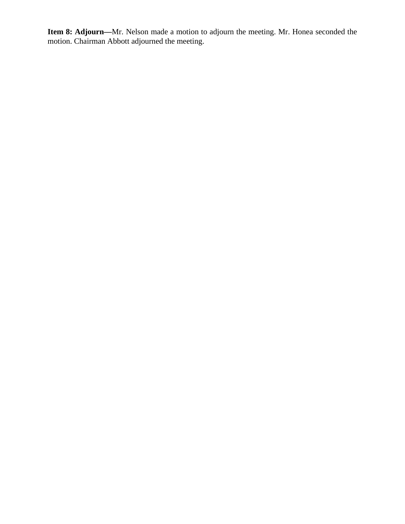**Item 8: Adjourn—**Mr. Nelson made a motion to adjourn the meeting. Mr. Honea seconded the motion. Chairman Abbott adjourned the meeting.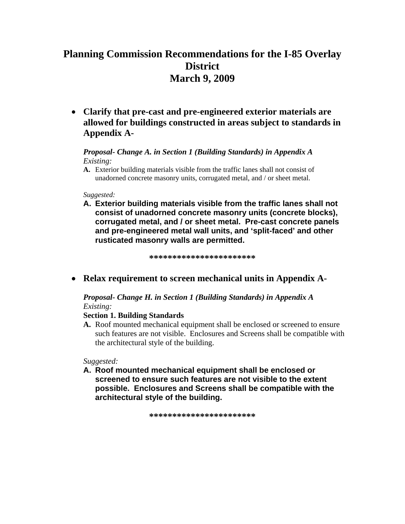# **Planning Commission Recommendations for the I-85 Overlay District March 9, 2009**

• **Clarify that pre-cast and pre-engineered exterior materials are allowed for buildings constructed in areas subject to standards in Appendix A-**

### *Proposal- Change A. in Section 1 (Building Standards) in Appendix A Existing:*

**A.** Exterior building materials visible from the traffic lanes shall not consist of unadorned concrete masonry units, corrugated metal, and / or sheet metal.

*Suggested:*

**A. Exterior building materials visible from the traffic lanes shall not consist of unadorned concrete masonry units (concrete blocks), corrugated metal, and / or sheet metal. Pre-cast concrete panels and pre-engineered metal wall units, and 'split-faced' and other rusticated masonry walls are permitted.** 

**\*\*\*\*\*\*\*\*\*\*\*\*\*\*\*\*\*\*\*\*\*\*\*** 

• **Relax requirement to screen mechanical units in Appendix A-**

*Proposal- Change H. in Section 1 (Building Standards) in Appendix A Existing:* 

#### **Section 1. Building Standards**

**A.** Roof mounted mechanical equipment shall be enclosed or screened to ensure such features are not visible. Enclosures and Screens shall be compatible with the architectural style of the building.

*Suggested:* 

**A. Roof mounted mechanical equipment shall be enclosed or screened to ensure such features are not visible to the extent possible. Enclosures and Screens shall be compatible with the architectural style of the building.** 

**\*\*\*\*\*\*\*\*\*\*\*\*\*\*\*\*\*\*\*\*\*\*\***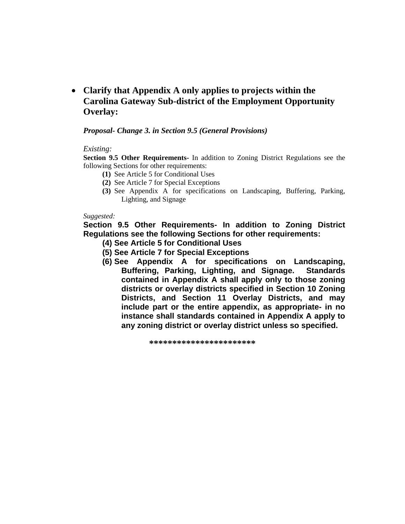• **Clarify that Appendix A only applies to projects within the Carolina Gateway Sub-district of the Employment Opportunity Overlay:** 

#### *Proposal- Change 3. in Section 9.5 (General Provisions)*

#### *Existing:*

**Section 9.5 Other Requirements-** In addition to Zoning District Regulations see the following Sections for other requirements:

- **(1)** See Article 5 for Conditional Uses
- **(2)** See Article 7 for Special Exceptions
- **(3)** See Appendix A for specifications on Landscaping, Buffering, Parking, Lighting, and Signage

#### *Suggested:*

**Section 9.5 Other Requirements- In addition to Zoning District Regulations see the following Sections for other requirements:** 

- **(4) See Article 5 for Conditional Uses**
- **(5) See Article 7 for Special Exceptions**
- **(6) See Appendix A for specifications on Landscaping, Buffering, Parking, Lighting, and Signage. Standards contained in Appendix A shall apply only to those zoning districts or overlay districts specified in Section 10 Zoning Districts, and Section 11 Overlay Districts, and may include part or the entire appendix, as appropriate- in no instance shall standards contained in Appendix A apply to any zoning district or overlay district unless so specified.**

**\*\*\*\*\*\*\*\*\*\*\*\*\*\*\*\*\*\*\*\*\*\*\***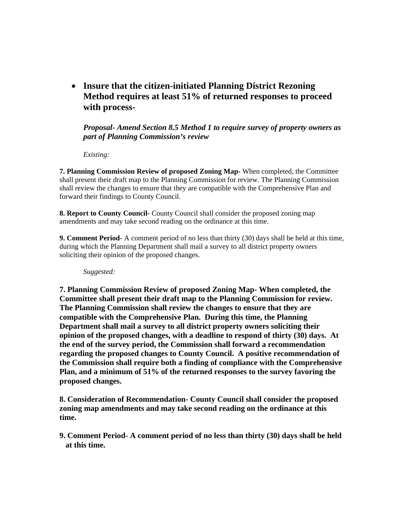• **Insure that the citizen-initiated Planning District Rezoning Method requires at least 51% of returned responses to proceed with process-**

*Proposal- Amend Section 8.5 Method 1 to require survey of property owners as part of Planning Commission's review* 

*Existing:* 

**7. Planning Commission Review of proposed Zoning Map-** When completed, the Committee shall present their draft map to the Planning Commission for review. The Planning Commission shall review the changes to ensure that they are compatible with the Comprehensive Plan and forward their findings to County Council.

**8. Report to County Council-** County Council shall consider the proposed zoning map amendments and may take second reading on the ordinance at this time.

**9. Comment Period-** A comment period of no less than thirty (30) days shall be held at this time, during which the Planning Department shall mail a survey to all district property owners soliciting their opinion of the proposed changes.

*Suggested:* 

**7. Planning Commission Review of proposed Zoning Map- When completed, the Committee shall present their draft map to the Planning Commission for review. The Planning Commission shall review the changes to ensure that they are compatible with the Comprehensive Plan. During this time, the Planning Department shall mail a survey to all district property owners soliciting their opinion of the proposed changes, with a deadline to respond of thirty (30) days. At the end of the survey period, the Commission shall forward a recommendation regarding the proposed changes to County Council. A positive recommendation of the Commission shall require both a finding of compliance with the Comprehensive Plan, and a minimum of 51% of the returned responses to the survey favoring the proposed changes.** 

**8. Consideration of Recommendation- County Council shall consider the proposed zoning map amendments and may take second reading on the ordinance at this time.** 

**9. Comment Period- A comment period of no less than thirty (30) days shall be held at this time.**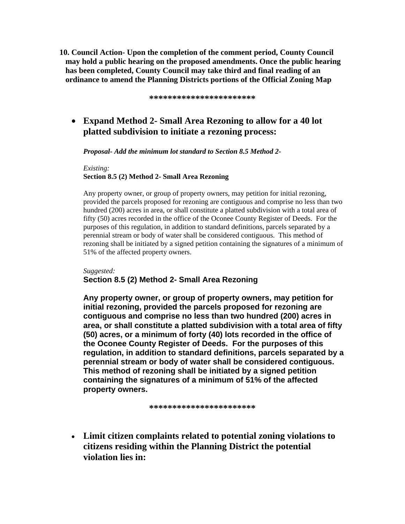**10. Council Action- Upon the completion of the comment period, County Council may hold a public hearing on the proposed amendments. Once the public hearing has been completed, County Council may take third and final reading of an ordinance to amend the Planning Districts portions of the Official Zoning Map** 

**\*\*\*\*\*\*\*\*\*\*\*\*\*\*\*\*\*\*\*\*\*\*\*** 

# • **Expand Method 2- Small Area Rezoning to allow for a 40 lot platted subdivision to initiate a rezoning process:**

*Proposal- Add the minimum lot standard to Section 8.5 Method 2-* 

*Existing:*  **Section 8.5 (2) Method 2- Small Area Rezoning** 

Any property owner, or group of property owners, may petition for initial rezoning, provided the parcels proposed for rezoning are contiguous and comprise no less than two hundred (200) acres in area, or shall constitute a platted subdivision with a total area of fifty (50) acres recorded in the office of the Oconee County Register of Deeds. For the purposes of this regulation, in addition to standard definitions, parcels separated by a perennial stream or body of water shall be considered contiguous. This method of rezoning shall be initiated by a signed petition containing the signatures of a minimum of 51% of the affected property owners.

#### *Suggested:*

#### **Section 8.5 (2) Method 2- Small Area Rezoning**

**Any property owner, or group of property owners, may petition for initial rezoning, provided the parcels proposed for rezoning are contiguous and comprise no less than two hundred (200) acres in area, or shall constitute a platted subdivision with a total area of fifty (50) acres, or a minimum of forty (40) lots recorded in the office of the Oconee County Register of Deeds. For the purposes of this regulation, in addition to standard definitions, parcels separated by a perennial stream or body of water shall be considered contiguous. This method of rezoning shall be initiated by a signed petition containing the signatures of a minimum of 51% of the affected property owners.** 

**\*\*\*\*\*\*\*\*\*\*\*\*\*\*\*\*\*\*\*\*\*\*\*** 

• **Limit citizen complaints related to potential zoning violations to citizens residing within the Planning District the potential violation lies in:**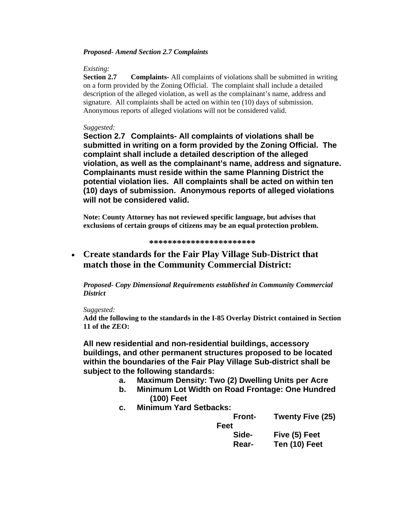#### *Proposed- Amend Section 2.7 Complaints*

#### *Existing:*

**Section 2.7 Complaints-** All complaints of violations shall be submitted in writing on a form provided by the Zoning Official. The complaint shall include a detailed description of the alleged violation, as well as the complainant's name, address and signature. All complaints shall be acted on within ten (10) days of submission. Anonymous reports of alleged violations will not be considered valid.

#### *Suggested:*

**Section 2.7 Complaints- All complaints of violations shall be submitted in writing on a form provided by the Zoning Official. The complaint shall include a detailed description of the alleged violation, as well as the complainant's name, address and signature. Complainants must reside within the same Planning District the potential violation lies. All complaints shall be acted on within ten (10) days of submission. Anonymous reports of alleged violations will not be considered valid.** 

**Note: County Attorney has not reviewed specific language, but advises that exclusions of certain groups of citizens may be an equal protection problem.** 

#### **\*\*\*\*\*\*\*\*\*\*\*\*\*\*\*\*\*\*\*\*\*\*\***

• **Create standards for the Fair Play Village Sub-District that match those in the Community Commercial District:**

*Proposed- Copy Dimensional Requirements established in Community Commercial District* 

#### *Suggested:*

**Add the following to the standards in the I-85 Overlay District contained in Section 11 of the ZEO:** 

**All new residential and non-residential buildings, accessory buildings, and other permanent structures proposed to be located within the boundaries of the Fair Play Village Sub-district shall be subject to the following standards:** 

- **a. Maximum Density: Two (2) Dwelling Units per Acre**
- **b. Minimum Lot Width on Road Frontage: One Hundred (100) Feet**
- **c. Minimum Yard Setbacks:**

**Front- Twenty Five (25)** 

| Feet  |               |
|-------|---------------|
| Side- | Five (5) Feet |
| Rear- | Ten (10) Feet |